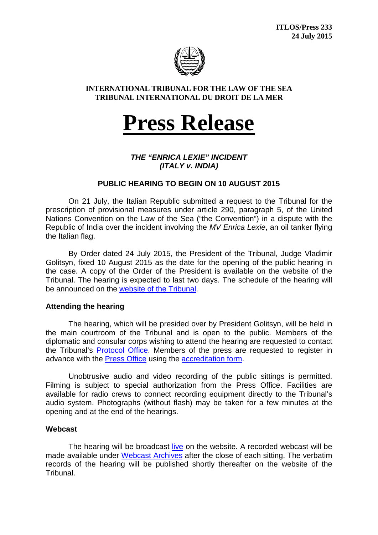

## **INTERNATIONAL TRIBUNAL FOR THE LAW OF THE SEA TRIBUNAL INTERNATIONAL DU DROIT DE LA MER**

# **Press Release**

*THE "ENRICA LEXIE" INCIDENT (ITALY v. INDIA)*

# **PUBLIC HEARING TO BEGIN ON 10 AUGUST 2015**

On 21 July, the Italian Republic submitted a request to the Tribunal for the prescription of provisional measures under article 290, paragraph 5, of the United Nations Convention on the Law of the Sea ("the Convention") in a dispute with the Republic of India over the incident involving the *MV Enrica Lexie*, an oil tanker flying the Italian flag.

By Order dated 24 July 2015, the President of the Tribunal, Judge Vladimir Golitsyn, fixed 10 August 2015 as the date for the opening of the public hearing in the case. A copy of the Order of the President is available on the website of the Tribunal. The hearing is expected to last two days. The schedule of the hearing will be announced on the [website of the Tribunal.](https://www.itlos.org/en/cases/schedule-of-hearings/)

## **Attending the hearing**

The hearing, which will be presided over by President Golitsyn, will be held in the main courtroom of the Tribunal and is open to the public. Members of the diplomatic and consular corps wishing to attend the hearing are requested to contact the Tribunal's [Protocol Office.](mailto:vorbeck@itlos.org) Members of the press are requested to register in advance with the [Press Office](mailto:press@itlos.org) using the [accreditation form.](https://www.itlos.org/press-media/media-services/media-accreditation/)

Unobtrusive audio and video recording of the public sittings is permitted. Filming is subject to special authorization from the Press Office. Facilities are available for radio crews to connect recording equipment directly to the Tribunal's audio system. Photographs (without flash) may be taken for a few minutes at the opening and at the end of the hearings.

#### **Webcast**

The hearing will be broadcast [live](https://www.itlos.org/affaires/retransmission-en-direct/) on the website. A recorded webcast will be made available under [Webcast Archives](https://www.itlos.org/en/cases/webcast/) after the close of each sitting. The verbatim records of the hearing will be published shortly thereafter on the website of the Tribunal.